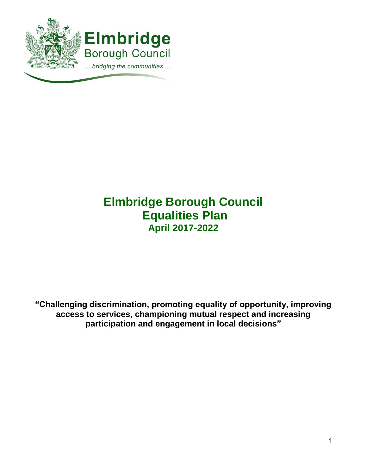

# **Elmbridge Borough Council Equalities Plan April 2017-2022**

**"Challenging discrimination, promoting equality of opportunity, improving access to services, championing mutual respect and increasing participation and engagement in local decisions"**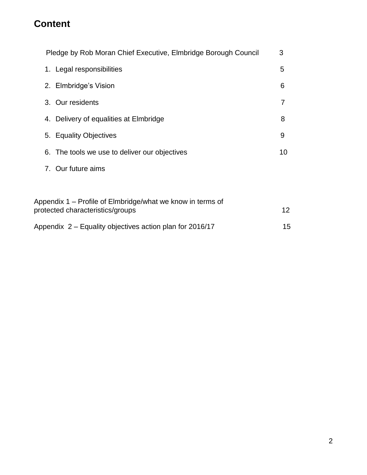# **Content**

| Pledge by Rob Moran Chief Executive, Elmbridge Borough Council                                 | 3  |  |
|------------------------------------------------------------------------------------------------|----|--|
| 1. Legal responsibilities                                                                      | 5  |  |
| 2. Elmbridge's Vision                                                                          | 6  |  |
| 3. Our residents                                                                               | 7  |  |
| 4. Delivery of equalities at Elmbridge                                                         | 8  |  |
| 5. Equality Objectives                                                                         | 9  |  |
| 6. The tools we use to deliver our objectives                                                  |    |  |
| 7. Our future aims                                                                             |    |  |
|                                                                                                |    |  |
| Appendix 1 – Profile of Elmbridge/what we know in terms of<br>protected characteristics/groups | 12 |  |
| Appendix 2 – Equality objectives action plan for 2016/17<br>15                                 |    |  |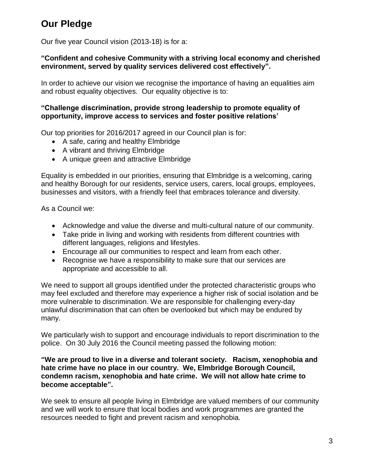# **Our Pledge**

Our five year Council vision (2013-18) is for a:

### **"Confident and cohesive Community with a striving local economy and cherished environment, served by quality services delivered cost effectively".**

In order to achieve our vision we recognise the importance of having an equalities aim and robust equality objectives.Our equality objective is to:

### **"Challenge discrimination, provide strong leadership to promote equality of opportunity, improve access to services and foster positive relations'**

Our top priorities for 2016/2017 agreed in our Council plan is for:

- A safe, caring and healthy Elmbridge
- A vibrant and thriving Elmbridge
- A unique green and attractive Elmbridge

Equality is embedded in our priorities, ensuring that Elmbridge is a welcoming, caring and healthy Borough for our residents, service users, carers, local groups, employees, businesses and visitors, with a friendly feel that embraces tolerance and diversity.

As a Council we:

- Acknowledge and value the diverse and multi-cultural nature of our community.
- Take pride in living and working with residents from different countries with different languages, religions and lifestyles.
- Encourage all our communities to respect and learn from each other.
- Recognise we have a responsibility to make sure that our services are appropriate and accessible to all.

We need to support all groups identified under the protected characteristic groups who may feel excluded and therefore may experience a higher risk of social isolation and be more vulnerable to discrimination. We are responsible for challenging every-day unlawful discrimination that can often be overlooked but which may be endured by many.

We particularly wish to support and encourage individuals to report discrimination to the police. On 30 July 2016 the Council meeting passed the following motion:

#### **"We are proud to live in a diverse and tolerant society. Racism, xenophobia and hate crime have no place in our country. We, Elmbridge Borough Council, condemn racism, xenophobia and hate crime. We will not allow hate crime to become acceptable".**

We seek to ensure all people living in Elmbridge are valued members of our community and we will work to ensure that local bodies and work programmes are granted the resources needed to fight and prevent racism and xenophobia.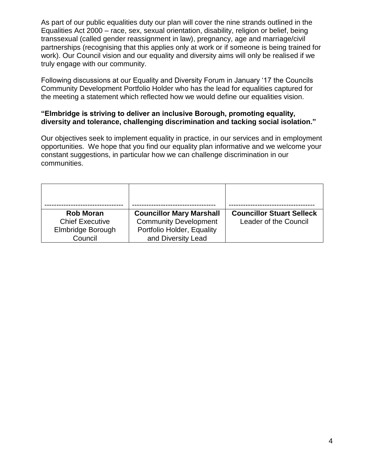As part of our public equalities duty our plan will cover the nine strands outlined in the Equalities Act 2000 – race, sex, sexual orientation, disability, religion or belief, being transsexual (called gender reassignment in law), pregnancy, age and marriage/civil partnerships (recognising that this applies only at work or if someone is being trained for work). Our Council vision and our equality and diversity aims will only be realised if we truly engage with our community.

Following discussions at our Equality and Diversity Forum in January '17 the Councils Community Development Portfolio Holder who has the lead for equalities captured for the meeting a statement which reflected how we would define our equalities vision.

#### **"Elmbridge is striving to deliver an inclusive Borough, promoting equality, diversity and tolerance, challenging discrimination and tacking social isolation."**

Our objectives seek to implement equality in practice, in our services and in employment opportunities. We hope that you find our equality plan informative and we welcome your constant suggestions, in particular how we can challenge discrimination in our communities.

| <b>Rob Moran</b>       | <b>Councillor Mary Marshall</b> | <b>Councillor Stuart Selleck</b> |
|------------------------|---------------------------------|----------------------------------|
| <b>Chief Executive</b> | <b>Community Development</b>    | Leader of the Council            |
| Elmbridge Borough      | Portfolio Holder, Equality      |                                  |
| Council                | and Diversity Lead              |                                  |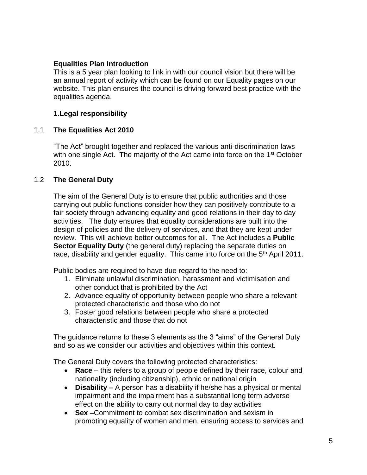### **Equalities Plan Introduction**

This is a 5 year plan looking to link in with our council vision but there will be an annual report of activity which can be found on our Equality pages on our website. This plan ensures the council is driving forward best practice with the equalities agenda.

### **1.Legal responsibility**

#### 1.1 **The Equalities Act 2010**

"The Act" brought together and replaced the various anti-discrimination laws with one single Act. The majority of the Act came into force on the 1<sup>st</sup> October 2010.

#### 1.2 **The General Duty**

The aim of the General Duty is to ensure that public authorities and those carrying out public functions consider how they can positively contribute to a fair society through advancing equality and good relations in their day to day activities. The duty ensures that equality considerations are built into the design of policies and the delivery of services, and that they are kept under review. This will achieve better outcomes for all. The Act includes a **Public Sector Equality Duty** (the general duty) replacing the separate duties on race, disability and gender equality. This came into force on the 5<sup>th</sup> April 2011.

Public bodies are required to have due regard to the need to:

- 1. Eliminate unlawful discrimination, harassment and victimisation and other conduct that is prohibited by the Act
- 2. Advance equality of opportunity between people who share a relevant protected characteristic and those who do not
- 3. Foster good relations between people who share a protected characteristic and those that do not

The guidance returns to these 3 elements as the 3 "aims" of the General Duty and so as we consider our activities and objectives within this context.

The General Duty covers the following protected characteristics:

- **Race** this refers to a group of people defined by their race, colour and nationality (including citizenship), ethnic or national origin
- **Disability –** A person has a disability if he/she has a physical or mental impairment and the impairment has a substantial long term adverse effect on the ability to carry out normal day to day activities
- **Sex –**Commitment to combat sex discrimination and sexism in promoting equality of women and men, ensuring access to services and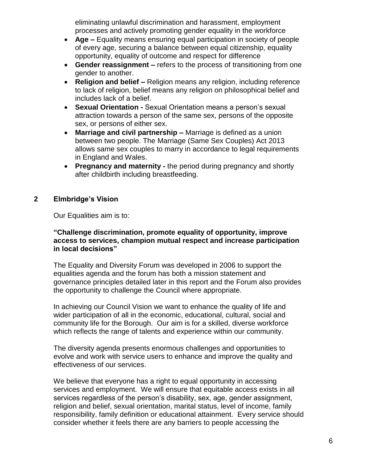eliminating unlawful discrimination and harassment, employment processes and actively promoting gender equality in the workforce

- **Age –** Equality means ensuring equal participation in society of people of every age, securing a balance between equal citizenship, equality opportunity, equality of outcome and respect for difference
- **Gender reassignment –** refers to the process of transitioning from one gender to another.
- **Religion and belief –** Religion means any religion, including reference to lack of religion, belief means any religion on philosophical belief and includes lack of a belief.
- **Sexual Orientation -** Sexual Orientation means a person's sexual attraction towards a person of the same sex, persons of the opposite sex, or persons of either sex.
- **Marriage and civil partnership –** Marriage is defined as a union between two people. The Marriage (Same Sex Couples) Act 2013 allows same sex couples to marry in accordance to legal requirements in England and Wales.
- **Pregnancy and maternity -** the period during pregnancy and shortly after childbirth including breastfeeding.

### **2 Elmbridge's Vision**

Our Equalities aim is to:

#### **"Challenge discrimination, promote equality of opportunity, improve access to services, champion mutual respect and increase participation in local decisions"**

The Equality and Diversity Forum was developed in 2006 to support the equalities agenda and the forum has both a mission statement and governance principles detailed later in this report and the Forum also provides the opportunity to challenge the Council where appropriate.

In achieving our Council Vision we want to enhance the quality of life and wider participation of all in the economic, educational, cultural, social and community life for the Borough. Our aim is for a skilled, diverse workforce which reflects the range of talents and experience within our community.

The diversity agenda presents enormous challenges and opportunities to evolve and work with service users to enhance and improve the quality and effectiveness of our services.

We believe that everyone has a right to equal opportunity in accessing services and employment. We will ensure that equitable access exists in all services regardless of the person's disability, sex, age, gender assignment, religion and belief, sexual orientation, marital status, level of income, family responsibility, family definition or educational attainment. Every service should consider whether it feels there are any barriers to people accessing the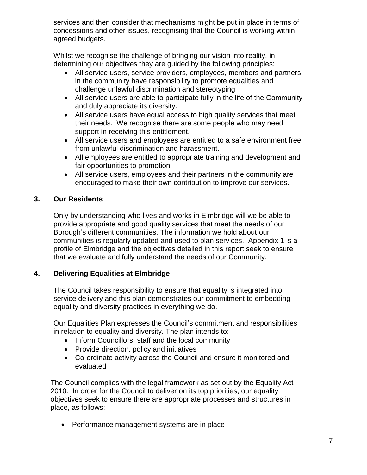services and then consider that mechanisms might be put in place in terms of concessions and other issues, recognising that the Council is working within agreed budgets.

Whilst we recognise the challenge of bringing our vision into reality, in determining our objectives they are guided by the following principles:

- All service users, service providers, employees, members and partners in the community have responsibility to promote equalities and challenge unlawful discrimination and stereotyping
- All service users are able to participate fully in the life of the Community and duly appreciate its diversity.
- All service users have equal access to high quality services that meet their needs. We recognise there are some people who may need support in receiving this entitlement.
- All service users and employees are entitled to a safe environment free from unlawful discrimination and harassment.
- All employees are entitled to appropriate training and development and fair opportunities to promotion
- All service users, employees and their partners in the community are encouraged to make their own contribution to improve our services.

### **3. Our Residents**

Only by understanding who lives and works in Elmbridge will we be able to provide appropriate and good quality services that meet the needs of our Borough's different communities. The information we hold about our communities is regularly updated and used to plan services. Appendix 1 is a profile of Elmbridge and the objectives detailed in this report seek to ensure that we evaluate and fully understand the needs of our Community.

## **4. Delivering Equalities at Elmbridge**

The Council takes responsibility to ensure that equality is integrated into service delivery and this plan demonstrates our commitment to embedding equality and diversity practices in everything we do.

Our Equalities Plan expresses the Council's commitment and responsibilities in relation to equality and diversity. The plan intends to:

- Inform Councillors, staff and the local community
- Provide direction, policy and initiatives
- Co-ordinate activity across the Council and ensure it monitored and evaluated

The Council complies with the legal framework as set out by the Equality Act 2010. In order for the Council to deliver on its top priorities, our equality objectives seek to ensure there are appropriate processes and structures in place, as follows:

• Performance management systems are in place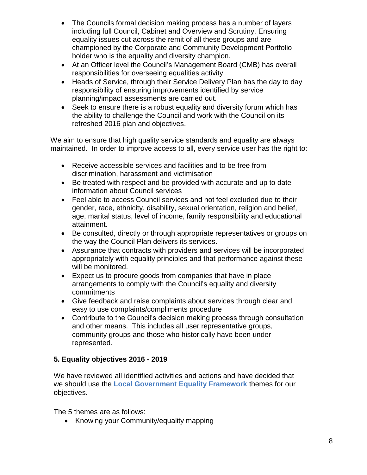- The Councils formal decision making process has a number of layers including full Council, Cabinet and Overview and Scrutiny. Ensuring equality issues cut across the remit of all these groups and are championed by the Corporate and Community Development Portfolio holder who is the equality and diversity champion.
- At an Officer level the Council's Management Board (CMB) has overall responsibilities for overseeing equalities activity
- Heads of Service, through their Service Delivery Plan has the day to day responsibility of ensuring improvements identified by service planning/impact assessments are carried out.
- Seek to ensure there is a robust equality and diversity forum which has the ability to challenge the Council and work with the Council on its refreshed 2016 plan and objectives.

We aim to ensure that high quality service standards and equality are always maintained. In order to improve access to all, every service user has the right to:

- Receive accessible services and facilities and to be free from discrimination, harassment and victimisation
- Be treated with respect and be provided with accurate and up to date information about Council services
- Feel able to access Council services and not feel excluded due to their gender, race, ethnicity, disability, sexual orientation, religion and belief, age, marital status, level of income, family responsibility and educational attainment.
- Be consulted, directly or through appropriate representatives or groups on the way the Council Plan delivers its services.
- Assurance that contracts with providers and services will be incorporated appropriately with equality principles and that performance against these will be monitored.
- Expect us to procure goods from companies that have in place arrangements to comply with the Council's equality and diversity commitments
- Give feedback and raise complaints about services through clear and easy to use complaints/compliments procedure
- Contribute to the Council's decision making process through consultation and other means. This includes all user representative groups, community groups and those who historically have been under represented.

## **5. Equality objectives 2016 - 2019**

We have reviewed all identified activities and actions and have decided that we should use the **[Local Government Equality Framework](http://www.local.gov.uk/equality-frameworks)** themes for our objectives.

The 5 themes are as follows:

• Knowing your Community/equality mapping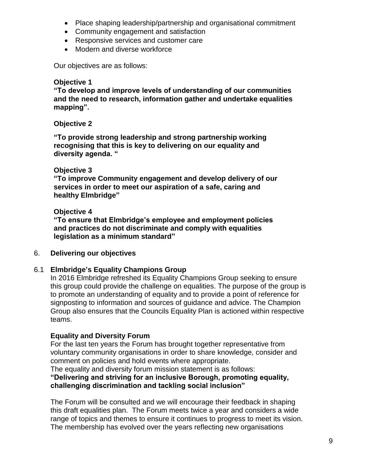- Place shaping leadership/partnership and organisational commitment
- Community engagement and satisfaction
- Responsive services and customer care
- Modern and diverse workforce

Our objectives are as follows:

#### **Objective 1**

**"To develop and improve levels of understanding of our communities and the need to research, information gather and undertake equalities mapping".** 

#### **Objective 2**

**"To provide strong leadership and strong partnership working recognising that this is key to delivering on our equality and diversity agenda. "**

#### **Objective 3**

**"To improve Community engagement and develop delivery of our services in order to meet our aspiration of a safe, caring and healthy Elmbridge"**

#### **Objective 4**

**"To ensure that Elmbridge's employee and employment policies and practices do not discriminate and comply with equalities legislation as a minimum standard"**

#### 6. **Delivering our objectives**

#### 6.1 **Elmbridge's Equality Champions Group**

In 2016 Elmbridge refreshed its Equality Champions Group seeking to ensure this group could provide the challenge on equalities. The purpose of the group is to promote an understanding of equality and to provide a point of reference for signposting to information and sources of guidance and advice. The Champion Group also ensures that the Councils Equality Plan is actioned within respective teams.

#### **Equality and Diversity Forum**

For the last ten years the Forum has brought together representative from voluntary community organisations in order to share knowledge, consider and comment on policies and hold events where appropriate.

The equality and diversity forum mission statement is as follows:

#### **"Delivering and striving for an inclusive Borough, promoting equality, challenging discrimination and tackling social inclusion"**

The Forum will be consulted and we will encourage their feedback in shaping this draft equalities plan. The Forum meets twice a year and considers a wide range of topics and themes to ensure it continues to progress to meet its vision. The membership has evolved over the years reflecting new organisations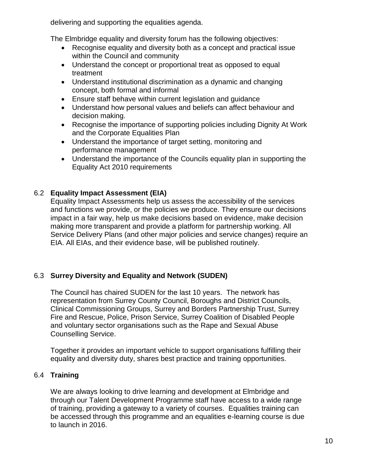delivering and supporting the equalities agenda.

The Elmbridge equality and diversity forum has the following objectives:

- Recognise equality and diversity both as a concept and practical issue within the Council and community
- Understand the concept or proportional treat as opposed to equal treatment
- Understand institutional discrimination as a dynamic and changing concept, both formal and informal
- Ensure staff behave within current legislation and guidance
- Understand how personal values and beliefs can affect behaviour and decision making.
- Recognise the importance of supporting policies including Dignity At Work and the Corporate Equalities Plan
- Understand the importance of target setting, monitoring and performance management
- Understand the importance of the Councils equality plan in supporting the Equality Act 2010 requirements

## 6.2 **Equality Impact Assessment (EIA)**

Equality Impact Assessments help us assess the accessibility of the services and functions we provide, or the policies we produce. They ensure our decisions impact in a fair way, help us make decisions based on evidence, make decision making more transparent and provide a platform for partnership working. All Service Delivery Plans (and other major policies and service changes) require an EIA. All EIAs, and their evidence base, will be published routinely.

### 6.3 **Surrey Diversity and Equality and Network (SUDEN)**

The Council has chaired SUDEN for the last 10 years. The network has representation from Surrey County Council, Boroughs and District Councils, Clinical Commissioning Groups, Surrey and Borders Partnership Trust, Surrey Fire and Rescue, Police, Prison Service, Surrey Coalition of Disabled People and voluntary sector organisations such as the Rape and Sexual Abuse Counselling Service.

Together it provides an important vehicle to support organisations fulfilling their equality and diversity duty, shares best practice and training opportunities.

### 6.4 **Training**

We are always looking to drive learning and development at Elmbridge and through our Talent Development Programme staff have access to a wide range of training, providing a gateway to a variety of courses. Equalities training can be accessed through this programme and an equalities e-learning course is due to launch in 2016.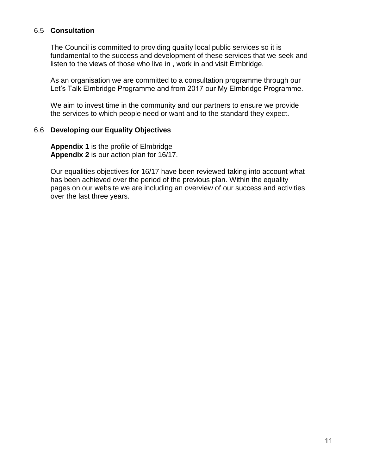### 6.5 **Consultation**

The Council is committed to providing quality local public services so it is fundamental to the success and development of these services that we seek and listen to the views of those who live in , work in and visit Elmbridge.

As an organisation we are committed to a consultation programme through our Let's Talk Elmbridge Programme and from 2017 our My Elmbridge Programme.

We aim to invest time in the community and our partners to ensure we provide the services to which people need or want and to the standard they expect.

#### 6.6 **Developing our Equality Objectives**

**Appendix 1** is the profile of Elmbridge **Appendix 2** is our action plan for 16/17.

Our equalities objectives for 16/17 have been reviewed taking into account what has been achieved over the period of the previous plan. Within the equality pages on our website we are including an overview of our success and activities over the last three years.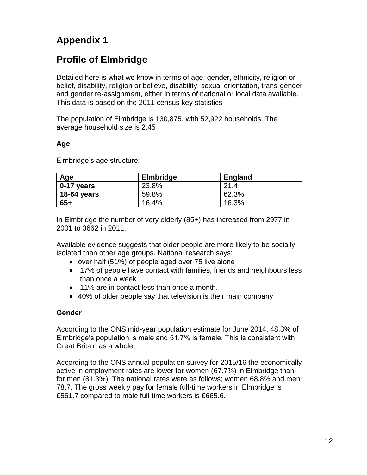# **Appendix 1**

# **Profile of Elmbridge**

Detailed here is what we know in terms of age, gender, ethnicity, religion or belief, disability, religion or believe, disability, sexual orientation, trans-gender and gender re-assignm*e*nt, either in terms of national or local data available. This data is based on the 2011 census key statistics

The population of Elmbridge is 130,875, with 52,922 households. The average household size is 2.45

### **Age**

Elmbridge's age structure:

| Age         | <b>Elmbridge</b> | <b>England</b> |
|-------------|------------------|----------------|
| 0-17 years  | 23.8%            | 21.4           |
| 18-64 years | 59.8%            | 62.3%          |
| $65+$       | 16.4%            | 16.3%          |

In Elmbridge the number of very elderly (85+) has increased from 2977 in 2001 to 3662 in 2011.

Available evidence suggests that older people are more likely to be socially isolated than other age groups. National research says:

- over half (51%) of people aged over 75 live alone
- 17% of people have contact with families, friends and neighbours less than once a week
- 11% are in contact less than once a month.
- 40% of older people say that television is their main company

### **Gender**

According to the ONS mid-year population estimate for June 2014, 48.3% of Elmbridge's population is male and 51.7% is female, This is consistent with Great Britain as a whole.

According to the ONS annual population survey for 2015/16 the economically active in employment rates are lower for women (67.7%) in Elmbridge than for men (81.3%). The national rates were as follows; women 68.8% and men 78.7. The gross weekly pay for female full-time workers in Elmbridge is £561.7 compared to male full-time workers is £665.6.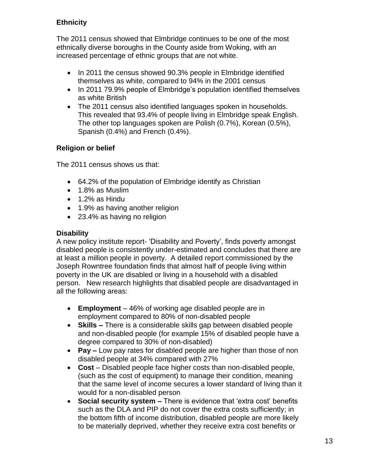## **Ethnicity**

The 2011 census showed that Elmbridge continues to be one of the most ethnically diverse boroughs in the County aside from Woking, with an increased percentage of ethnic groups that are not white.

- In 2011 the census showed 90.3% people in Elmbridge identified themselves as white, compared to 94% in the 2001 census
- In 2011 79.9% people of Elmbridge's population identified themselves as white British
- The 2011 census also identified languages spoken in households. This revealed that 93.4% of people living in Elmbridge speak English. The other top languages spoken are Polish (0.7%), Korean (0.5%), Spanish (0.4%) and French (0.4%).

### **Religion or belief**

The 2011 census shows us that:

- 64.2% of the population of Elmbridge identify as Christian
- 1.8% as Muslim
- 1.2% as Hindu
- 1.9% as having another religion
- 23.4% as having no religion

### **Disability**

A new policy institute report- 'Disability and Poverty', finds poverty amongst disabled people is consistently under-estimated and concludes that there are at least a million people in poverty. A detailed report commissioned by the Joseph Rowntree foundation finds that almost half of people living within poverty in the UK are disabled or living in a household with a disabled person. New research highlights that disabled people are disadvantaged in all the following areas:

- **Employment** 46% of working age disabled people are in employment compared to 80% of non-disabled people
- **Skills –** There is a considerable skills gap between disabled people and non-disabled people (for example 15% of disabled people have a degree compared to 30% of non-disabled)
- **Pay –** Low pay rates for disabled people are higher than those of non disabled people at 34% compared with 27%
- **Cost**  Disabled people face higher costs than non-disabled people, (such as the cost of equipment) to manage their condition, meaning that the same level of income secures a lower standard of living than it would for a non-disabled person
- **Social security system –** There is evidence that 'extra cost' benefits such as the DLA and PIP do not cover the extra costs sufficiently; in the bottom fifth of income distribution, disabled people are more likely to be materially deprived, whether they receive extra cost benefits or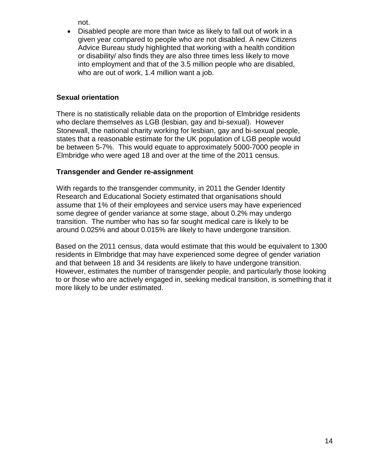not.

• Disabled people are more than twice as likely to fall out of work in a given year compared to people who are not disabled. A new Citizens Advice Bureau study highlighted that working with a health condition or disability/ also finds they are also three times less likely to move into employment and that of the 3.5 million people who are disabled, who are out of work, 1.4 million want a job.

### **Sexual orientation**

There is no statistically reliable data on the proportion of Elmbridge residents who declare themselves as LGB (lesbian, gay and bi-sexual). However Stonewall, the national charity working for lesbian, gay and bi-sexual people, states that a reasonable estimate for the UK population of LGB people would be between 5-7%. This would equate to approximately 5000-7000 people in Elmbridge who were aged 18 and over at the time of the 2011 census.

### **Transgender and Gender re-assignment**

With regards to the transgender community, in 2011 the Gender Identity Research and Educational Society estimated that organisations should assume that 1% of their employees and service users may have experienced some degree of gender variance at some stage, about 0.2% may undergo transition. The number who has so far sought medical care is likely to be around 0.025% and about 0.015% are likely to have undergone transition.

Based on the 2011 census, data would estimate that this would be equivalent to 1300 residents in Elmbridge that may have experienced some degree of gender variation and that between 18 and 34 residents are likely to have undergone transition. However, estimates the number of transgender people, and particularly those looking to or those who are actively engaged in, seeking medical transition, is something that it more likely to be under estimated.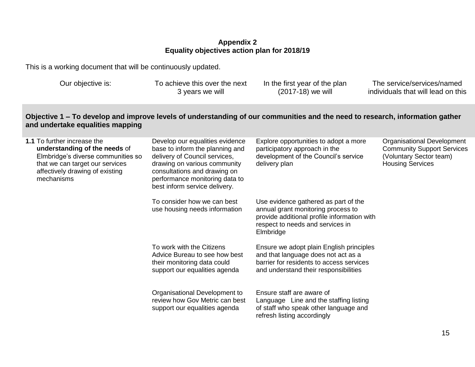### **Appendix 2 Equality objectives action plan for 2018/19**

This is a working document that will be continuously updated.

Our objective is: To achieve this over the next 3 years we will

In the first year of the plan (2017-18) we will

The service/services/named individuals that will lead on this

### **Objective 1 – To develop and improve levels of understanding of our communities and the need to research, information gather and undertake equalities mapping**

| <b>1.1</b> To further increase the<br>understanding of the needs of<br>Elmbridge's diverse communities so<br>that we can target our services<br>affectively drawing of existing<br>mechanisms | Develop our equalities evidence<br>base to inform the planning and<br>delivery of Council services,<br>drawing on various community<br>consultations and drawing on<br>performance monitoring data to<br>best inform service delivery. | Explore opportunities to adopt a more<br>participatory approach in the<br>development of the Council's service<br>delivery plan                                            | Organisational Development<br><b>Community Support Services</b><br>(Voluntary Sector team)<br><b>Housing Services</b> |
|-----------------------------------------------------------------------------------------------------------------------------------------------------------------------------------------------|----------------------------------------------------------------------------------------------------------------------------------------------------------------------------------------------------------------------------------------|----------------------------------------------------------------------------------------------------------------------------------------------------------------------------|-----------------------------------------------------------------------------------------------------------------------|
|                                                                                                                                                                                               | To consider how we can best<br>use housing needs information                                                                                                                                                                           | Use evidence gathered as part of the<br>annual grant monitoring process to<br>provide additional profile information with<br>respect to needs and services in<br>Elmbridge |                                                                                                                       |
|                                                                                                                                                                                               | To work with the Citizens<br>Advice Bureau to see how best<br>their monitoring data could<br>support our equalities agenda                                                                                                             | Ensure we adopt plain English principles<br>and that language does not act as a<br>barrier for residents to access services<br>and understand their responsibilities       |                                                                                                                       |
|                                                                                                                                                                                               | Organisational Development to<br>review how Gov Metric can best<br>support our equalities agenda                                                                                                                                       | Ensure staff are aware of<br>Language Line and the staffing listing<br>of staff who speak other language and<br>refresh listing accordingly                                |                                                                                                                       |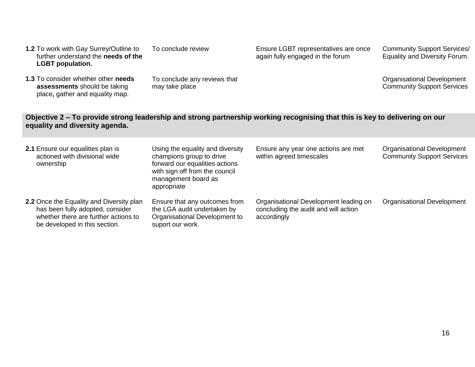**1.3** To consider whether other **needs assessments** should be taking place**,** gather and equality map.

To conclude review

may take place

To conclude any reviews that

Ensure LGBT representatives are once again fully engaged in the forum

Community Support Services/ Equality and Diversity Forum.

Organisational Development Community Support Services

### **Objective 2** *–* **To provide strong leadership and strong partnership working recognising that this is key to delivering on our equality and diversity agenda.**

| 2.1 Ensure our equalities plan is<br>actioned with divisional wide<br>ownership                                                                       | Using the equality and diversity<br>champions group to drive<br>forward our equalities actions<br>with sign off from the council<br>management board as<br>appropriate | Ensure any year one actions are met<br>within agreed timescales                              | <b>Organisational Development</b><br><b>Community Support Services</b> |
|-------------------------------------------------------------------------------------------------------------------------------------------------------|------------------------------------------------------------------------------------------------------------------------------------------------------------------------|----------------------------------------------------------------------------------------------|------------------------------------------------------------------------|
| 2.2 Once the Equality and Diversity plan<br>has been fully adopted, consider<br>whether there are further actions to<br>be developed in this section. | Ensure that any outcomes from<br>the LGA audit undertaken by<br>Organisational Development to<br>suport our work.                                                      | Organisational Development leading on<br>concluding the audit and will action<br>accordingly | <b>Organisational Development</b>                                      |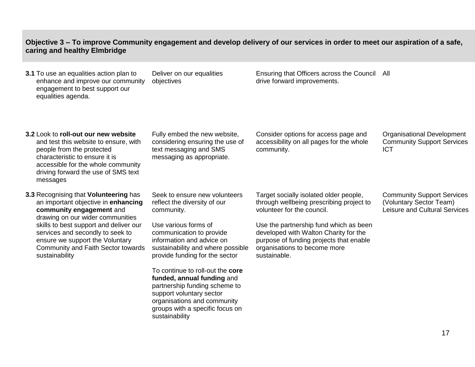## **Objective 3 – To improve Community engagement and develop delivery of our services in order to meet our aspiration of a safe, caring and healthy Elmbridge**

| <b>3.1</b> To use an equalities action plan to<br>enhance and improve our community<br>engagement to best support our<br>equalities agenda.                                                                                                                                                                           | Deliver on our equalities<br>objectives                                                                                                                                                                                             | Ensuring that Officers across the Council All<br>drive forward improvements.                                                                                                                                                                                                                   |                                                                                               |
|-----------------------------------------------------------------------------------------------------------------------------------------------------------------------------------------------------------------------------------------------------------------------------------------------------------------------|-------------------------------------------------------------------------------------------------------------------------------------------------------------------------------------------------------------------------------------|------------------------------------------------------------------------------------------------------------------------------------------------------------------------------------------------------------------------------------------------------------------------------------------------|-----------------------------------------------------------------------------------------------|
| 3.2 Look to roll-out our new website<br>and test this website to ensure, with<br>people from the protected<br>characteristic to ensure it is<br>accessible for the whole community<br>driving forward the use of SMS text<br>messages                                                                                 | Fully embed the new website,<br>considering ensuring the use of<br>text messaging and SMS<br>messaging as appropriate.                                                                                                              | Consider options for access page and<br>accessibility on all pages for the whole<br>community.                                                                                                                                                                                                 | Organisational Development<br><b>Community Support Services</b><br><b>ICT</b>                 |
| 3.3 Recognising that Volunteering has<br>an important objective in enhancing<br>community engagement and<br>drawing on our wider communities<br>skills to best support and deliver our<br>services and secondly to seek to<br>ensure we support the Voluntary<br>Community and Faith Sector towards<br>sustainability | Seek to ensure new volunteers<br>reflect the diversity of our<br>community.<br>Use various forms of<br>communication to provide<br>information and advice on<br>sustainability and where possible<br>provide funding for the sector | Target socially isolated older people,<br>through wellbeing prescribing project to<br>volunteer for the council.<br>Use the partnership fund which as been<br>developed with Walton Charity for the<br>purpose of funding projects that enable<br>organisations to become more<br>sustainable. | <b>Community Support Services</b><br>(Voluntary Sector Team)<br>Leisure and Cultural Services |
|                                                                                                                                                                                                                                                                                                                       | To continue to roll-out the core<br>funded, annual funding and<br>partnership funding scheme to<br>support voluntary sector<br>organisations and community<br>groups with a specific focus on                                       |                                                                                                                                                                                                                                                                                                |                                                                                               |

sustainability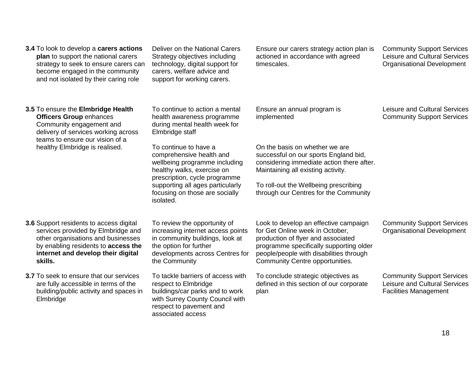| 3.4 To look to develop a carers actions<br>plan to support the national carers<br>strategy to seek to ensure carers can<br>become engaged in the community<br>and not isolated by their caring role                | Deliver on the National Carers<br>Strategy objectives including<br>technology, digital support for<br>carers, welfare advice and<br>support for working carers.                    | Ensure our carers strategy action plan is<br>actioned in accordance with agreed<br>timescales.                                                                                                                                          | <b>Community Support Services</b><br>Leisure and Cultural Services<br><b>Organisational Development</b> |
|--------------------------------------------------------------------------------------------------------------------------------------------------------------------------------------------------------------------|------------------------------------------------------------------------------------------------------------------------------------------------------------------------------------|-----------------------------------------------------------------------------------------------------------------------------------------------------------------------------------------------------------------------------------------|---------------------------------------------------------------------------------------------------------|
| 3.5 To ensure the Elmbridge Health<br><b>Officers Group enhances</b><br>Community engagement and<br>delivery of services working across<br>teams to ensure our vision of a                                         | To continue to action a mental<br>health awareness programme<br>during mental health week for<br>Elmbridge staff                                                                   | Ensure an annual program is<br>implemented                                                                                                                                                                                              | Leisure and Cultural Services<br><b>Community Support Services</b>                                      |
| healthy Elmbridge is realised.                                                                                                                                                                                     | To continue to have a<br>comprehensive health and<br>wellbeing programme including<br>healthy walks, exercise on<br>prescription, cycle programme                                  | On the basis on whether we are<br>successful on our sports England bid,<br>considering immediate action there after.<br>Maintaining all existing activity.                                                                              |                                                                                                         |
|                                                                                                                                                                                                                    | supporting all ages particularly<br>focusing on those are socially<br>isolated.                                                                                                    | To roll-out the Wellbeing prescribing<br>through our Centres for the Community                                                                                                                                                          |                                                                                                         |
| <b>3.6</b> Support residents to access digital<br>services provided by Elmbridge and<br>other organisations and businesses<br>by enabling residents to access the<br>internet and develop their digital<br>skills. | To review the opportunity of<br>increasing internet access points<br>in community buildings, look at<br>the option for further<br>developments across Centres for<br>the Community | Look to develop an effective campaign<br>for Get Online week in October,<br>production of flyer and associated<br>programme specifically supporting older<br>people/people with disabilities through<br>Community Centre opportunities. | <b>Community Support Services</b><br><b>Organisational Development</b>                                  |
| 3.7 To seek to ensure that our services<br>are fully accessible in terms of the<br>building/public activity and spaces in<br>Elmbridge                                                                             | To tackle barriers of access with<br>respect to Elmbridge<br>buildings/car parks and to work<br>with Surrey County Council with<br>respect to pavement and<br>associated access    | To conclude strategic objectives as<br>defined in this section of our corporate<br>plan                                                                                                                                                 | <b>Community Support Services</b><br>Leisure and Cultural Services<br><b>Facilities Management</b>      |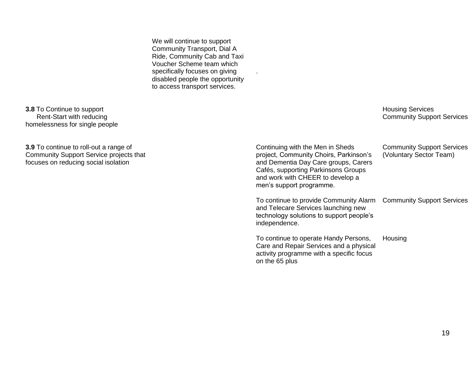We will continue to support Community Transport, Dial A Ride, Community Cab and Taxi Voucher Scheme team which specifically focuses on giving disabled people the opportunity to access transport services.

.

**3.8** To Continue to support Rent-Start with reducing homelessness for single people

**3.9** To continue to roll-out a range of Community Support Service projects that focuses on reducing social isolation

Housing Services Community Support Services

| Continuing with the Men in Sheds<br>project, Community Choirs, Parkinson's<br>and Dementia Day Care groups, Carers<br>Cafés, supporting Parkinsons Groups<br>and work with CHEER to develop a<br>men's support programme. | <b>Community Support Services</b><br>(Voluntary Sector Team) |
|---------------------------------------------------------------------------------------------------------------------------------------------------------------------------------------------------------------------------|--------------------------------------------------------------|
| To continue to provide Community Alarm<br>and Telecare Services launching new<br>technology solutions to support people's<br>independence.                                                                                | <b>Community Support Services</b>                            |
| To continue to operate Handy Persons,<br>Care and Repair Services and a physical<br>activity programme with a specific focus<br>on the 65 plus                                                                            | Housing                                                      |